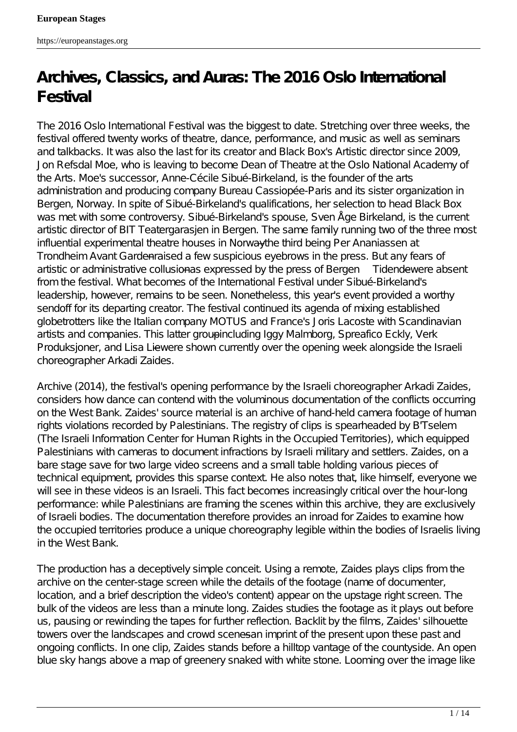# **Archives, Classics, and Auras: The 2016 Oslo International Festival**

The 2016 Oslo International Festival was the biggest to date. Stretching over three weeks, the festival offered twenty works of theatre, dance, performance, and music as well as seminars and talkbacks. It was also the last for its creator and Black Box's Artistic director since 2009, Jon Refsdal Moe, who is leaving to become Dean of Theatre at the Oslo National Academy of the Arts. Moe's successor, Anne-Cécile Sibué-Birkeland, is the founder of the arts administration and producing company Bureau *Cassiopée*-Paris and its sister organization in Bergen, Norway. In spite of Sibué-Birkeland's qualifications, her selection to head Black Box was met with some controversy. Sibué-Birkeland's spouse, Sven Åge Birkeland, is the current artistic director of BIT Teatergarasjen in Bergen. The same family running two of the three most influential experimental theatre houses in Norwaythe third being Per Ananiassen at Trondheim Avant Gardenraised a few suspicious eyebrows in the press. But any fears of artistic or administrative collusionas expressed by the press of Bergen *Tidende* were absent from the festival. What becomes of the International Festival under Sibué-Birkeland's leadership, however, remains to be seen. Nonetheless, this year's event provided a worthy sendoff for its departing creator. The festival continued its agenda of mixing established globetrotters like the Italian company MOTUS and France's Joris Lacoste with Scandinavian artists and companies. This latter groupincluding Iggy Malmborg, Spreafico Eckly, Verk Produksjoner, and Lisa Liewere shown currently over the opening week alongside the Israeli choreographer Arkadi Zaides.

*Archive* (2014), the festival's opening performance by the Israeli choreographer Arkadi Zaides, considers how dance can contend with the voluminous documentation of the conflicts occurring on the West Bank. Zaides' source material is an archive of hand-held camera footage of human rights violations recorded by Palestinians. The registry of clips is spearheaded by *B'Tselem* (The Israeli Information Center for Human Rights in the Occupied Territories), which equipped Palestinians with cameras to document infractions by Israeli military and settlers. Zaides, on a bare stage save for two large video screens and a small table holding various pieces of technical equipment, provides this sparse context. He also notes that, like himself, everyone we will see in these videos is an Israeli. This fact becomes increasingly critical over the hour-long performance: while Palestinians are framing the scenes within this archive, they are exclusively of Israeli bodies. The documentation therefore provides an inroad for Zaides to examine how the occupied territories produce a unique choreography legible within the bodies of Israelis living in the West Bank.

The production has a deceptively simple conceit. Using a remote, Zaides plays clips from the archive on the center-stage screen while the details of the footage (name of documenter, location, and a brief description the video's content) appear on the upstage right screen. The bulk of the videos are less than a minute long. Zaides studies the footage as it plays out before us, pausing or rewinding the tapes for further reflection. Backlit by the films, Zaides' silhouette towers over the landscapes and crowd scenesan imprint of the present upon these past and ongoing conflicts. In one clip, Zaides stands before a hilltop vantage of the countyside. An open blue sky hangs above a map of greenery snaked with white stone. Looming over the image like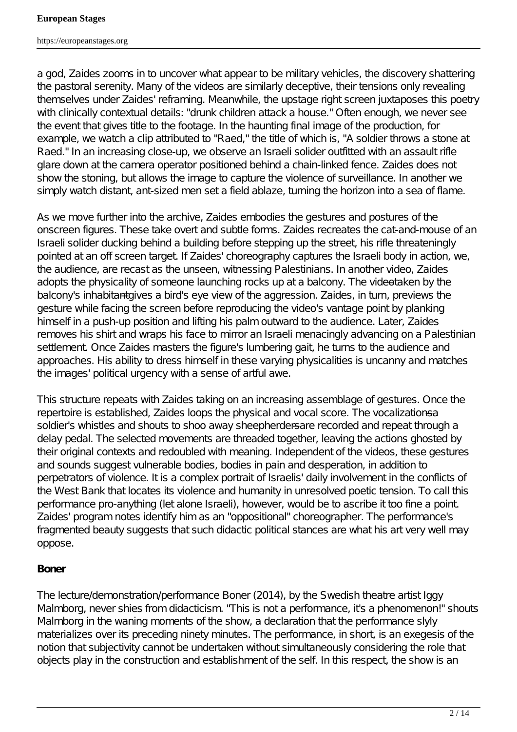#### **European Stages**

https://europeanstages.org

a god, Zaides zooms in to uncover what appear to be military vehicles, the discovery shattering the pastoral serenity. Many of the videos are similarly deceptive, their tensions only revealing themselves under Zaides' reframing. Meanwhile, the upstage right screen juxtaposes this poetry with clinically contextual details: "drunk children attack a house." Often enough, we never see the event that gives title to the footage. In the haunting final image of the production, for example, we watch a clip attributed to "Raed," the title of which is, "A soldier throws a stone at Raed." In an increasing close-up, we observe an Israeli solider outfitted with an assault rifle glare down at the camera operator positioned behind a chain-linked fence. Zaides does not show the stoning, but allows the image to capture the violence of surveillance. In another we simply watch distant, ant-sized men set a field ablaze, turning the horizon into a sea of flame.

As we move further into the archive, Zaides embodies the gestures and postures of the onscreen figures. These take overt and subtle forms. Zaides recreates the cat-and-mouse of an Israeli solider ducking behind a building before stepping up the street, his rifle threateningly pointed at an off screen target. If Zaides' choreography captures the Israeli body in action, we, the audience, are recast as the unseen, witnessing Palestinians. In another video, Zaides adopts the physicality of someone launching rocks up at a balcony. The videotaken by the balcony's inhabitante wes a bird's eye view of the aggression. Zaides, in turn, previews the gesture while facing the screen before reproducing the video's vantage point by planking himself in a push-up position and lifting his palm outward to the audience. Later, Zaides removes his shirt and wraps his face to mirror an Israeli menacingly advancing on a Palestinian settlement. Once Zaides masters the figure's lumbering gait, he turns to the audience and approaches. His ability to dress himself in these varying physicalities is uncanny and matches the images' political urgency with a sense of artful awe.

This structure repeats with Zaides taking on an increasing assemblage of gestures. Once the repertoire is established, Zaides loops the physical and vocal score. The vocalizationsasoldier's whistles and shouts to shoo away sheepherdersare recorded and repeat through a delay pedal. The selected movements are threaded together, leaving the actions ghosted by their original contexts and redoubled with meaning. Independent of the videos, these gestures and sounds suggest vulnerable bodies, bodies in pain and desperation, in addition to perpetrators of violence. It is a complex portrait of Israelis' daily involvement in the conflicts of the West Bank that locates its violence and humanity in unresolved poetic tension. To call this performance pro-anything (let alone Israeli), however, would be to ascribe it too fine a point. Zaides' program notes identify him as an "oppositional" choreographer. The performance's fragmented beauty suggests that such didactic political stances are what his art very well may oppose.

## *Boner*

The lecture/demonstration/performance *Boner* (2014), by the Swedish theatre artist Iggy Malmborg, never shies from didacticism. "This is not a performance, it's a phenomenon!" shouts Malmborg in the waning moments of the show, a declaration that the performance slyly materializes over its preceding ninety minutes. The performance, in short, is an exegesis of the notion that subjectivity cannot be undertaken without simultaneously considering the role that objects play in the construction and establishment of the self. In this respect, the show is an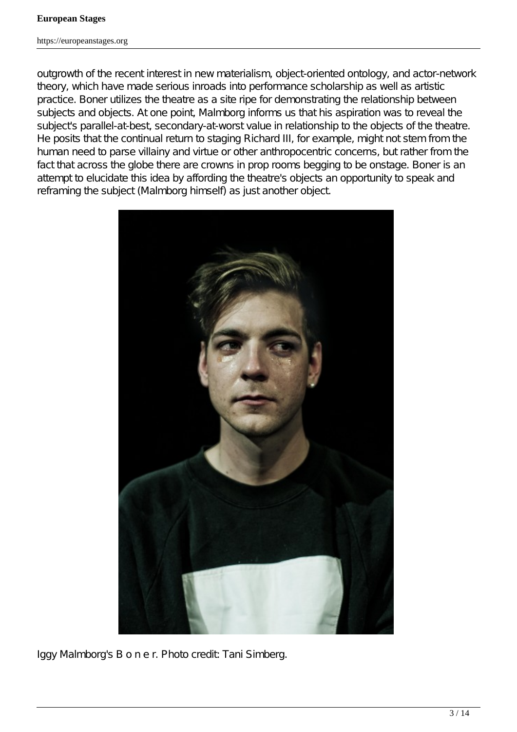outgrowth of the recent interest in new materialism, object-oriented ontology, and actor-network theory, which have made serious inroads into performance scholarship as well as artistic practice. *Boner* utilizes the theatre as a site ripe for demonstrating the relationship between subjects and objects. At one point, Malmborg informs us that his aspiration was to reveal the subject's parallel-at-best, secondary-at-worst value in relationship to the objects of the theatre. He posits that the continual return to staging *Richard III*, for example, might not stem from the human need to parse villainy and virtue or other anthropocentric concerns, but rather from the fact that across the globe there are crowns in prop rooms begging to be onstage. *Boner* is an attempt to elucidate this idea by affording the theatre's objects an opportunity to speak and reframing the subject (Malmborg himself) as just another object.



Iggy Malmborg's *B o n e r*. Photo credit: Tani Simberg.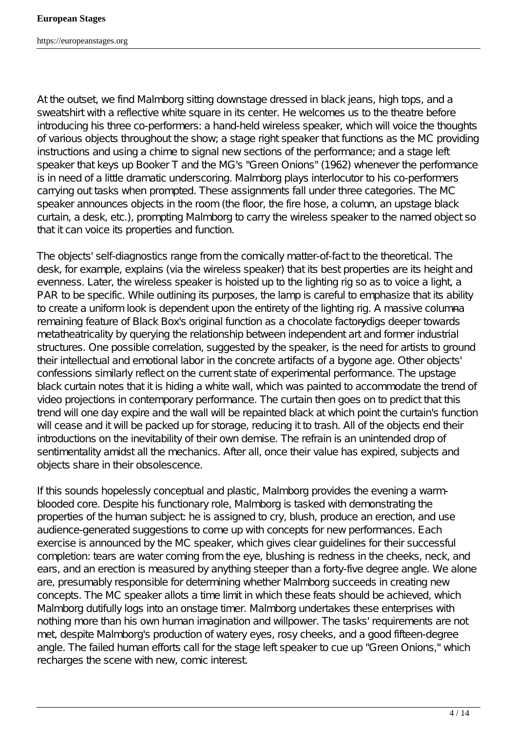At the outset, we find Malmborg sitting downstage dressed in black jeans, high tops, and a sweatshirt with a reflective white square in its center. He welcomes us to the theatre before introducing his three co-performers: a hand-held wireless speaker, which will voice the thoughts of various objects throughout the show; a stage right speaker that functions as the MC providing instructions and using a chime to signal new sections of the performance; and a stage left speaker that keys up Booker T and the MG's "Green Onions" (1962) whenever the performance is in need of a little dramatic underscoring. Malmborg plays interlocutor to his co-performers carrying out tasks when prompted. These assignments fall under three categories. The MC speaker announces objects in the room (the floor, the fire hose, a column, an upstage black curtain, a desk, etc.), prompting Malmborg to carry the wireless speaker to the named object so that it can voice its properties and function.

The objects' self-diagnostics range from the comically matter-of-fact to the theoretical. The desk, for example, explains (via the wireless speaker) that its best properties are its height and evenness. Later, the wireless speaker is hoisted up to the lighting rig so as to voice a light, a PAR to be specific. While outlining its purposes, the lamp is careful to emphasize that its ability to create a uniform look is dependent upon the entirety of the lighting rig. A massive columnaremaining feature of Black Box's original function as a chocolate factory digs deeper towards metatheatricality by querying the relationship between independent art and former industrial structures. One possible correlation, suggested by the speaker, is the need for artists to ground their intellectual and emotional labor in the concrete artifacts of a bygone age. Other objects' confessions similarly reflect on the current state of experimental performance. The upstage black curtain notes that it is hiding a white wall, which was painted to accommodate the trend of video projections in contemporary performance. The curtain then goes on to predict that this trend will one day expire and the wall will be repainted black at which point the curtain's function will cease and it will be packed up for storage, reducing it to trash. All of the objects end their introductions on the inevitability of their own demise. The refrain is an unintended drop of sentimentality amidst all the mechanics. After all, once their value has expired, subjects and objects share in their obsolescence.

If this sounds hopelessly conceptual and plastic, Malmborg provides the evening a warmblooded core. Despite his functionary role, Malmborg is tasked with demonstrating the properties of the human subject he is assigned to cry, blush, produce an erection, and use audience-generated suggestions to come up with concepts for new performances. Each exercise is announced by the MC speaker, which gives clear guidelines for their successful completion: tears are water coming from the eye, blushing is redness in the cheeks, neck, and ears, and an erection is measured by anything steeper than a forty-five degree angle. We alone are, presumably responsible for determining whether Malmborg succeeds in creating new concepts. The MC speaker allots a time limit in which these feats should be achieved, which Malmborg dutifully logs into an onstage timer. Malmborg undertakes these enterprises with nothing more than his own human imagination and willpower. The tasks' requirements are not met, despite Malmborg's production of watery eyes, rosy cheeks, and a good fifteen-degree angle. The failed human efforts call for the stage left speaker to cue up "Green Onions," which recharges the scene with new, comic interest.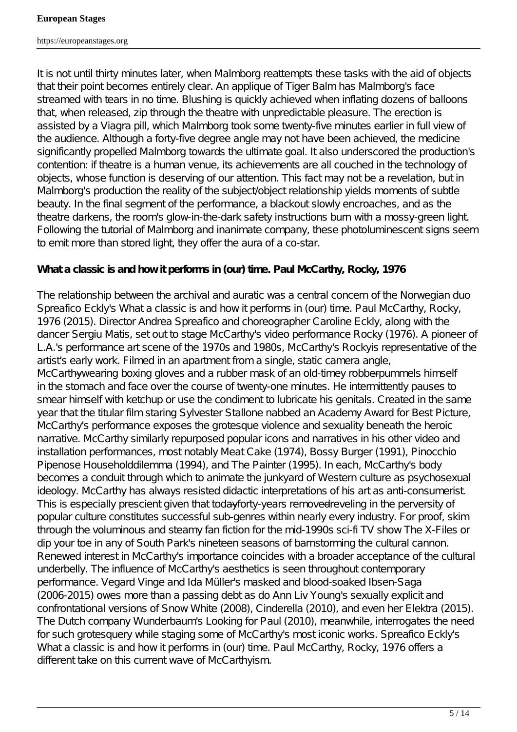It is not until thirty minutes later, when Malmborg reattempts these tasks with the aid of objects that their point becomes entirely clear. An applique of Tiger Balm has Malmborg's face streamed with tears in no time. Blushing is quickly achieved when inflating dozens of balloons that, when released, zip through the theatre with unpredictable pleasure. The erection is assisted by a Viagra pill, which Malmborg took some twenty-five minutes earlier in full view of the audience. Although a forty-five degree angle may not have been achieved, the medicine significantly propelled Malmborg towards the ultimate goal. It also underscored the production's contention: if theatre is a human venue, its achievements are all couched in the technology of objects, whose function is deserving of our attention. This fact may not be a revelation, but in Malmborg's production the reality of the subject/object relationship yields moments of subtle beauty. In the final segment of the performance, a blackout slowly encroaches, and as the theatre darkens, the room's glow-in-the-dark safety instructions burn with a mossy-green light. Following the tutorial of Malmborg and inanimate company, these photoluminescent signs seem to emit more than stored light, they offer the aura of a co-star.

# *What a classic is and how it performs in (our) time. Paul McCarthy, Rocky, 1976*

The relationship between the archival and auratic was a central concern of the Norwegian duo Spreafico Eckly's *What a classic is and how it performs in (our) time. Paul McCarthy, Rocky, 1976* (2015)*.* Director Andrea Spreafico and choreographer Caroline Eckly, along with the dancer Sergiu Matis, set out to stage McCarthy's video performance *Rocky* (1976). A pioneer of L.A.'s performance art scene of the 1970s and 1980s, McCarthy's *Rocky*is representative of the artist's early work. Filmed in an apartment from a single, static camera angle, McCarthywearing boxing gloves and a rubber mask of an old-timey robber pummels himself in the stomach and face over the course of twenty-one minutes. He intermittently pauses to smear himself with ketchup or use the condiment to lubricate his genitals. Created in the same year that the titular film staring Sylvester Stallone nabbed an Academy Award for Best Picture, McCarthy's performance exposes the grotesque violence and sexuality beneath the heroic narrative. McCarthy similarly repurposed popular icons and narratives in his other video and installation performances, most notably *Meat Cake* (1974), *Bossy Burger* (1991), *Pinocchio Pipenose Householddilemma* (1994), and *The Painter* (1995). In each, McCarthy's body becomes a conduit through which to animate the junkyard of Western culture as psychosexual ideology. McCarthy has always resisted didactic interpretations of his art as anti-consumerist. This is especially prescient given that todayforty-years removed reveling in the perversity of popular culture constitutes successful sub-genres within nearly every industry. For proof, skim through the voluminous and steamy fan fiction for the mid-1990s sci-fi TV show *The X-Files* or dip your toe in any of *South Park*'s nineteen seasons of barnstorming the cultural cannon. Renewed interest in McCarthy's importance coincides with a broader acceptance of the cultural underbelly. The influence of McCarthy's aesthetics is seen throughout contemporary performance. Vegard Vinge and Ida Müller's masked and blood-soaked *Ibsen-Saga* (2006-2015) owes more than a passing debt as do Ann Liv Young's sexually explicit and confrontational versions of *Snow White* (2008), *Cinderella* (2010), and even her *Elektra* (2015). The Dutch company Wunderbaum's *Looking for Paul* (2010), meanwhile, interrogates the need for such grotesquery while staging some of McCarthy's most iconic works. Spreafico Eckly's *What a classic is and how it performs in (our) time. Paul McCarthy, Rocky, 1976* offers a different take on this current wave of McCarthyism.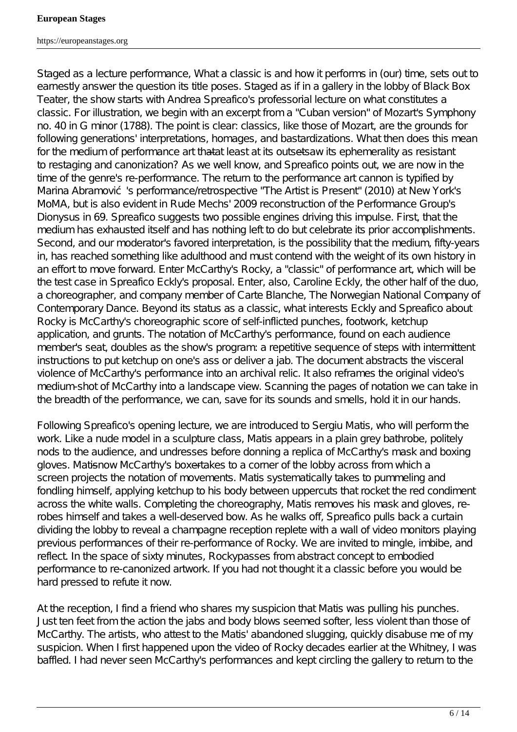#### **European Stages**

https://europeanstages.org

Staged as a lecture performance, *What a classic is and how it performs in (our) time,* sets out to earnestly answer the question its title poses. Staged as if in a gallery in the lobby of Black Box Teater, the show starts with Andrea Spreafico's professorial lecture on what constitutes a classic. For illustration, we begin with an excerpt from a "Cuban version" of Mozart's Symphony no. 40 in G minor (1788). The point is clear: classics, like those of Mozart, are the grounds for following generations' interpretations, *homages*, and bastardizations. What then does this mean for the medium of performance art thata+least at its outsetsaw its ephemerality as resistant to restaging and canonization? As we well know, and Spreafico points out, we are now in the time of the genre's re-performance. The return to the performance art cannon is typified by Marina Abramovi 's performance/retrospective "The Artist is Present" (2010) at New York's MoMA, but is also evident in Rude Mechs' 2009 reconstruction of the Performance Group's *Dionysus in 69.* Spreafico suggests two possible engines driving this impulse. First, that the medium has exhausted itself and has nothing left to do but celebrate its prior accomplishments. Second, and our moderator's favored interpretation, is the possibility that the medium, fifty-years in, has reached something like adulthood and must contend with the weight of its own history in an effort to move forward. Enter McCarthy's *Rocky*, a "classic" of performance art, which will be the test case in Spreafico Eckly's proposal. Enter, also, Caroline Eckly, the other half of the duo, a choreographer, and company member of Carte Blanche, The Norwegian National Company of Contemporary Dance. Beyond its status as a classic, what interests Eckly and Spreafico about *Rocky* is McCarthy's choreographic score of self-inflicted punches, footwork, ketchup application, and grunts. The notation of McCarthy's performance, found on each audience member's seat, doubles as the show's program: a repetitive sequence of steps with intermittent instructions to put ketchup on one's ass or deliver a jab. The document abstracts the visceral violence of McCarthy's performance into an archival relic. It also reframes the original video's medium-shot of McCarthy into a landscape view. Scanning the pages of notation we can take in the breadth of the performance, we can, save for its sounds and smells, hold it in our hands.

Following Spreafico's opening lecture, we are introduced to Sergiu Matis, who will perform the work. Like a nude model in a sculpture class, Matis appears in a plain grey bathrobe, politely nods to the audience, and undresses before donning a replica of McCarthy's mask and boxing gloves. Matisnow McCarthy's boxertakes to a corner of the lobby across from which a screen projects the notation of movements. Matis systematically takes to pummeling and fondling himself, applying ketchup to his body between uppercuts that rocket the red condiment across the white walls. Completing the choreography, Matis removes his mask and gloves, rerobes himself and takes a well-deserved bow. As he walks off, Spreafico pulls back a curtain dividing the lobby to reveal a champagne reception replete with a wall of video monitors playing previous performances of their re-performance of *Rocky*. We are invited to mingle, imbibe, and reflect. In the space of sixty minutes, *Rocky*passes from abstract concept to embodied performance to re-canonized artwork. If you had not thought it a classic before you would be hard pressed to refute it now.

At the reception, I find a friend who shares my suspicion that Matis was pulling his punches. Just ten feet from the action the jabs and body blows seemed softer, less violent than those of McCarthy. The artists, who attest to the Matis' abandoned slugging, quickly disabuse me of my suspicion. When I first happened upon the video of *Rocky* decades earlier at the Whitney, I was baffled. I had never seen McCarthy's performances and kept circling the gallery to return to the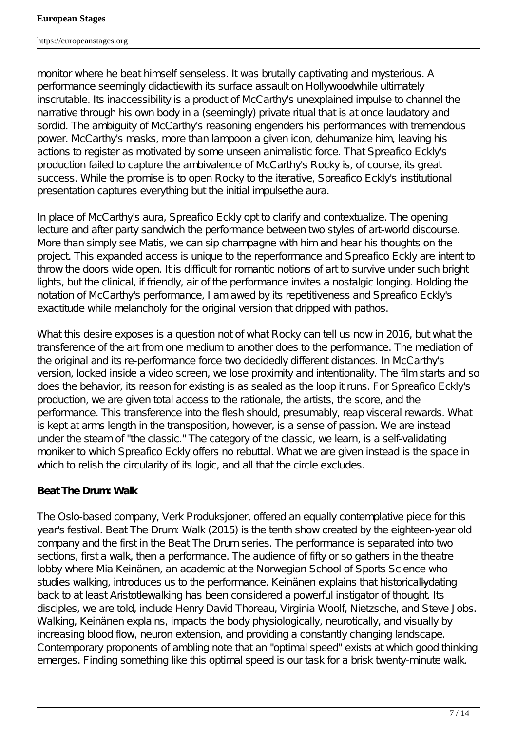monitor where he beat himself senseless. It was brutally captivating and mysterious. A performance seemingly didactic with its surface assault on Hollywood while ultimately inscrutable. Its inaccessibility is a product of McCarthy's unexplained impulse to channel the narrative through his own body in a (seemingly) private ritual that is at once laudatory and sordid. The ambiguity of McCarthy's reasoning engenders his performances with tremendous power. McCarthy's masks, more than lampoon a given icon, dehumanize him, leaving his actions to register as motivated by some unseen animalistic force. That Spreafico Eckly's production failed to capture the ambivalence of McCarthy's *Rocky* is, of course, its great success. While the promise is to open *Rocky* to the iterative, Spreafico Eckly's institutional presentation captures everything but the initial impulse the aura.

In place of McCarthy's aura, Spreafico Eckly opt to clarify and contextualize. The opening lecture and after party sandwich the performance between two styles of art-world discourse. More than simply see Matis, we can sip champagne with him and hear his thoughts on the project. This expanded access is unique to the reperformance and Spreafico Eckly are intent to throw the doors wide open. It is difficult for romantic notions of art to survive under such bright lights, but the clinical, if friendly, air of the performance invites a nostalgic longing. Holding the notation of McCarthy's performance, I am awed by its repetitiveness and Spreafico Eckly's exactitude while melancholy for the original version that dripped with pathos.

What this desire exposes is a question not of what *Rocky* can tell us now in 2016, but what the transference of the art from one medium to another does to the performance. The mediation of the original and its re-performance force two decidedly different distances. In McCarthy's version, locked inside a video screen, we lose proximity and intentionality. The film starts and so does the behavior, its reason for existing is as sealed as the loop it runs. For Spreafico Eckly's production, we are given total access to the rationale, the artists, the score, and the performance. This transference into the flesh should, presumably, reap visceral rewards. What is kept at arms length in the transposition, however, is a sense of passion. We are instead under the steam of "the classic." The category of the classic, we learn, is a self-validating moniker to which Spreafico Eckly offers no rebuttal. What we are given instead is the space in which to relish the circularity of its logic, and all that the circle excludes.

# *Beat The Drum: Walk*

The Oslo-based company, Verk Produksjoner, offered an equally contemplative piece for this year's festival. *Beat The Drum: Walk* (2015) is the tenth show created by the eighteen-year old company and the first in the *Beat The Drum* series. The performance is separated into two sections, first a walk, then a performance. The audience of fifty or so gathers in the theatre lobby where Mia Keinänen, an academic at the Norwegian School of Sports Science who studies walking, introduces us to the performance. Keinänen explains that historically dating back to at least Aristotle-walking has been considered a powerful instigator of thought. Its disciples, we are told, include Henry David Thoreau, Virginia Woolf, Nietzsche, and Steve Jobs. Walking, Keinänen explains, impacts the body physiologically, neurotically, and visually by increasing blood flow, neuron extension, and providing a constantly changing landscape. Contemporary proponents of ambling note that an "optimal speed" exists at which good thinking emerges. Finding something like this optimal speed is our task for a brisk twenty-minute walk.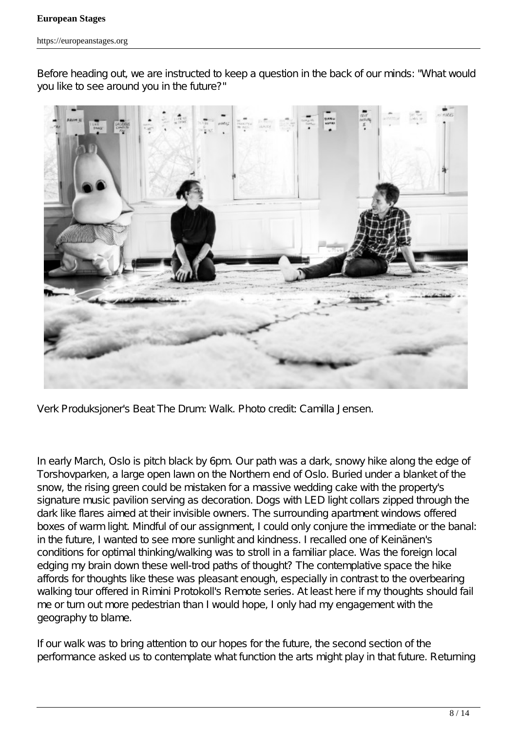Before heading out, we are instructed to keep a question in the back of our minds: "What would you like to see around you in the future?"



Verk Produksjoner's *Beat The Drum: Walk*. Photo credit: Camilla Jensen.

In early March, Oslo is pitch black by 6pm. Our path was a dark, snowy hike along the edge of *Torshovparken*, a large open lawn on the Northern end of Oslo. Buried under a blanket of the snow, the rising green could be mistaken for a massive wedding cake with the property's signature music pavilion serving as decoration. Dogs with LED light collars zipped through the dark like flares aimed at their invisible owners. The surrounding apartment windows offered boxes of warm light. Mindful of our assignment, I could only conjure the immediate or the banal: in the future, I wanted to see more sunlight and kindness. I recalled one of Keinänen's conditions for optimal thinking/walking was to stroll in a familiar place. Was the foreign local edging my brain down these well-trod paths of thought? The contemplative space the hike affords for thoughts like these was pleasant enough, especially in contrast to the overbearing walking tour offered in Rimini Protokoll's *Remote* series. At least here if my thoughts should fail me or turn out more pedestrian than I would hope, I only had my engagement with the geography to blame.

If our walk was to bring attention to our hopes for the future, the second section of the performance asked us to contemplate what function the arts might play in that future. Returning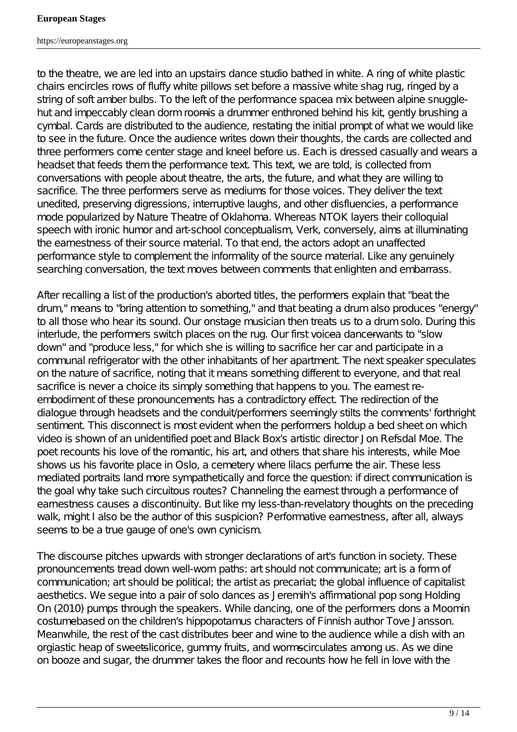to the theatre, we are led into an upstairs dance studio bathed in white. A ring of white plastic chairs encircles rows of fluffy white pillows set before a massive white shag rug, ringed by a string of soft amber bulbs. To the left of the performance spacea-mix between alpine snugglehut and impeccably clean dorm roomis a drummer enthroned behind his kit, gently brushing a cymbal. Cards are distributed to the audience, restating the initial prompt of what we would like to see in the future. Once the audience writes down their thoughts, the cards are collected and three performers come center stage and kneel before us. Each is dressed casually and wears a headset that feeds them the performance text. This text, we are told, is collected from conversations with people about theatre, the arts, the future, and what they are willing to sacrifice. The three performers serve as mediums for those voices. They deliver the text unedited, preserving digressions, interruptive laughs, and other disfluencies, a performance mode popularized by Nature Theatre of Oklahoma. Whereas NTOK layers their colloquial speech with ironic humor and art-school conceptualism, Verk, conversely, aims at illuminating the earnestness of their source material. To that end, the actors adopt an unaffected performance style to complement the informality of the source material. Like any genuinely searching conversation, the text moves between comments that enlighten and embarrass.

After recalling a list of the production's aborted titles, the performers explain that "beat the drum," means to "bring attention to something," and that beating a drum also produces "energy" to all those who hear its sound. Our onstage musician then treats us to a drum solo. During this interlude, the performers switch places on the rug. Our first voicea-dancerwants to "slow down" and "produce less," for which she is willing to sacrifice her car and participate in a communal refrigerator with the other inhabitants of her apartment. The next speaker speculates on the nature of sacrifice, noting that it means something different to everyone, and that real sacrifice is never a choice its simply something that happens to you. The earnest reembodiment of these pronouncements has a contradictory effect. The redirection of the dialogue through headsets and the conduit/performers seemingly stilts the comments' forthright sentiment. This disconnect is most evident when the performers holdup a bed sheet on which video is shown of an unidentified poet and Black Box's artistic director Jon Refsdal Moe. The poet recounts his love of the romantic, his art, and others that share his interests, while Moe shows us his favorite place in Oslo, a cemetery where lilacs perfume the air. These less mediated portraits land more sympathetically and force the question: if direct communication is the goal why take such circuitous routes? Channeling the earnest through a performance of earnestness causes a discontinuity. But like my less-than-revelatory thoughts on the preceding walk, might I also be the author of this suspicion? Performative earnestness, after all, always seems to be a true gauge of one's own cynicism.

The discourse pitches upwards with stronger declarations of art's function in society. These pronouncements tread down well-worn paths: art should not communicate; art is a form of communication; art should be political; the artist as precariat; the global influence of capitalist aesthetics. We segue into a pair of solo dances as Jeremih's affirmational pop song *Holding On* (2010) pumps through the speakers. While dancing, one of the performers dons a Moomin costumebased on the children's hippopotamus characters of Finnish author Tove Jansson. Meanwhile, the rest of the cast distributes beer and wine to the audience while a dish with an orgiastic heap of sweetsheorice, gummy fruits, and wormselinculates among us. As we dine on booze and sugar, the drummer takes the floor and recounts how he fell in love with the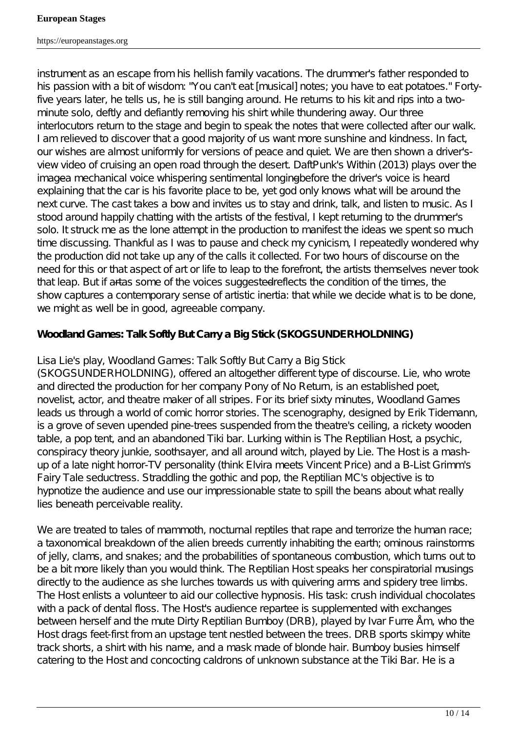instrument as an escape from his hellish family vacations. The drummer's father responded to his passion with a bit of wisdom: "You can't eat [musical] notes; you have to eat potatoes." Fortyfive years later, he tells us, he is still banging around. He returns to his kit and rips into a twominute solo, deftly and defiantly removing his shirt while thundering away. Our three interlocutors return to the stage and begin to speak the notes that were collected after our walk. I am relieved to discover that a good majority of us want more sunshine and kindness. In fact, our wishes are almost uniformly for versions of peace and quiet. We are then shown a driver'sview video of cruising an open road through the desert. DaftPunk's *Within* (2013) plays over the imagea-mechanical voice whispering sentimental longingbefore the driver's voice is heard explaining that the car is his favorite place to be, yet god only knows what will be around the next curve. The cast takes a bow and invites us to stay and drink, talk, and listen to music. As I stood around happily chatting with the artists of the festival, I kept returning to the drummer's solo. It struck me as the lone attempt in the production to manifest the ideas we spent so much time discussing. Thankful as I was to pause and check my cynicism, I repeatedly wondered why the production did not take up any of the calls it collected. For two hours of discourse on the need for this or that aspect of art or life to leap to the forefront, the artists themselves never took that leap. But if artas some of the voices suggested reflects the condition of the times, the show captures a contemporary sense of artistic inertia: that while we decide what is to be done, we might as well be in good, agreeable company.

# *Woodland Games: Talk Softly But Carry a Big Stick* **(***SKOGSUNDERHOLDNING***)**

# Lisa Lie's play, *Woodland Games: Talk Softly But Carry a Big Stick*

(*SKOGSUNDERHOLDNING*), offered an altogether different type of discourse. Lie, who wrote and directed the production for her company Pony of No Return, is an established poet, novelist, actor, and theatre maker of all stripes. For its brief sixty minutes, *Woodland Games* leads us through a world of comic horror stories. The scenography, designed by Erik Tidemann, is a grove of seven upended pine-trees suspended from the theatre's ceiling, a rickety wooden table, a pop tent, and an abandoned Tiki bar. Lurking within is The Reptilian Host, a psychic, conspiracy theory junkie, soothsayer, and all around witch, played by Lie. The Host is a mashup of a late night horror-TV personality (think Elvira meets Vincent Price) and a B-List Grimm's Fairy Tale seductress. Straddling the gothic and pop, the Reptilian MC's objective is to hypnotize the audience and use our impressionable state to spill the beans about what *really* lies beneath perceivable reality.

We are treated to tales of mammoth, nocturnal reptiles that rape and terrorize the human race; a taxonomical breakdown of the alien breeds currently inhabiting the earth; ominous rainstorms of jelly, clams, and snakes; and the probabilities of spontaneous combustion, which turns out to be a bit more likely than you would think. The Reptilian Host speaks her conspiratorial musings directly to the audience as she lurches towards us with quivering arms and spidery tree limbs. The Host enlists a volunteer to aid our collective hypnosis. His task: crush individual chocolates with a pack of dental floss. The Host's audience repartee is supplemented with exchanges between herself and the mute Dirty Reptilian Bumboy (DRB), played by Ivar Furre Åm, who the Host drags feet-first from an upstage tent nestled between the trees. DRB sports skimpy white track shorts, a shirt with his name, and a mask made of blonde hair. Bumboy busies himself catering to the Host and concocting caldrons of unknown substance at the Tiki Bar. He is a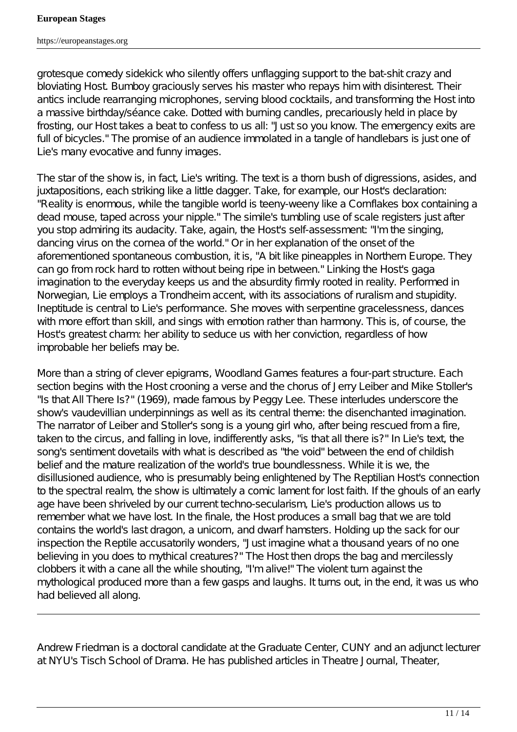grotesque comedy sidekick who silently offers unflagging support to the bat-shit crazy and bloviating Host. Bumboy graciously serves his master who repays him with disinterest. Their antics include rearranging microphones, serving blood cocktails, and transforming the Host into a massive birthday/séance cake. Dotted with burning candles, precariously held in place by frosting, our Host takes a beat to confess to us all: "Just so you know. The emergency exits are full of bicycles." The promise of an audience immolated in a tangle of handlebars is just one of Lie's many evocative and funny images.

The star of the show is, in fact, Lie's writing. The text is a thorn bush of digressions, asides, and juxtapositions, each striking like a little dagger. Take, for example, our Host's declaration: "Reality is enormous, while the tangible world is teeny-weeny like a Cornflakes box containing a dead mouse, taped across your nipple." The simile's tumbling use of scale registers just after you stop admiring its audacity. Take, again, the Host's self-assessment: "I'm the singing, dancing virus on the cornea of the world." Or in her explanation of the onset of the aforementioned spontaneous combustion, it is, "A bit like pineapples in Northern Europe. They can go from rock hard to rotten without being ripe in between." Linking the Host's gaga imagination to the everyday keeps us and the absurdity firmly rooted in reality. Performed in Norwegian, Lie employs a Trondheim accent, with its associations of ruralism and stupidity. Ineptitude is central to Lie's performance. She moves with serpentine gracelessness, dances with more effort than skill, and sings with emotion rather than harmony. This is, of course, the Host's greatest charm: her ability to seduce us with her conviction, regardless of how improbable her beliefs may be.

More than a string of clever epigrams, *Woodland Games* features a four-part structure. Each section begins with the Host crooning a verse and the chorus of Jerry Leiber and Mike Stoller's "Is that All There Is?" (1969), made famous by Peggy Lee. These interludes underscore the show's vaudevillian underpinnings as well as its central theme: the disenchanted imagination. The narrator of Leiber and Stoller's song is a young girl who, after being rescued from a fire, taken to the circus, and falling in love, indifferently asks, "is that all there is?" In Lie's text, the song's sentiment dovetails with what is described as "the void" between the end of childish belief and the mature realization of the world's true boundlessness. While it is we, the disillusioned audience, who is presumably being enlightened by The Reptilian Host's connection to the spectral realm, the show is ultimately a comic lament for lost faith. If the ghouls of an early age have been shriveled by our current techno-secularism, Lie's production allows us to remember what we have lost. In the finale, the Host produces a small bag that we are told contains the world's last dragon, a unicorn, and dwarf hamsters. Holding up the sack for our inspection the Reptile accusatorily wonders, "Just imagine what a thousand years of no one believing in you does to mythical creatures?" The Host then drops the bag and mercilessly clobbers it with a cane all the while shouting, "I'm alive!" The violent turn against the mythological produced more than a few gasps and laughs. It turns out, in the end, it was us who had believed all along.

Andrew Friedman is a doctoral candidate at the Graduate Center, CUNY and an adjunct lecturer at NYU's Tisch School of Drama. He has published articles in *Theatre Journal, Theater,*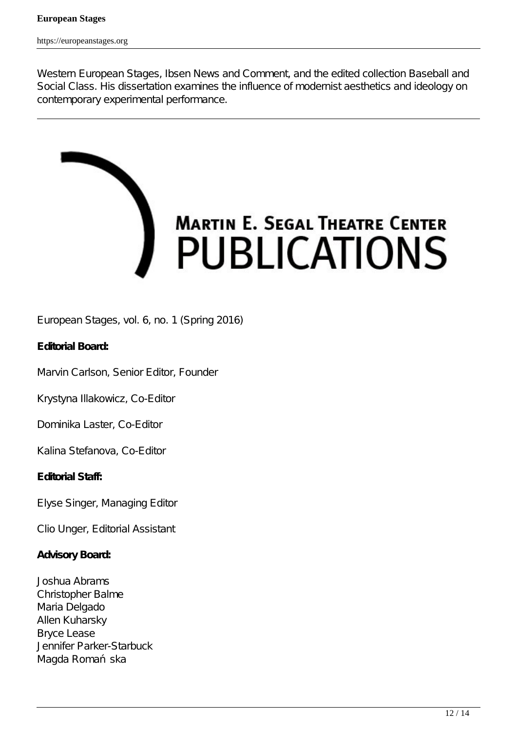*Western European Stages, Ibsen News and Comment*, and the edited collection *Baseball and Social Class*. His dissertation examines the influence of modernist aesthetics and ideology on contemporary experimental performance.



European Stages, vol. 6, no. 1 (Spring 2016)

## **Editorial Board:**

Marvin Carlson, Senior Editor, Founder

Krystyna Illakowicz, Co-Editor

Dominika Laster, Co-Editor

Kalina Stefanova, Co-Editor

## **Editorial Staff:**

Elyse Singer, Managing Editor

Clio Unger, Editorial Assistant

## **Advisory Board:**

Joshua Abrams Christopher Balme Maria Delgado Allen Kuharsky Bryce Lease Jennifer Parker-Starbuck Magda Roma ska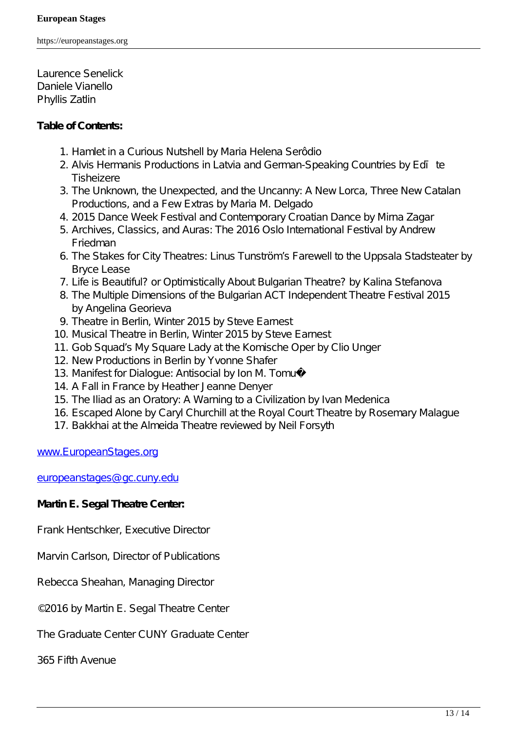Laurence Senelick Daniele Vianello Phyllis Zatlin

#### **Table of Contents:**

- 1. *Hamlet* in a Curious Nutshell by Maria Helena Serôdio
- 2. Alvis Hermanis Productions in Latvia and German-Speaking Countries by Ed te Tisheizere
- 3. The Unknown, the Unexpected, and the Uncanny: A New Lorca, Three New Catalan Productions, and a Few Extras by Maria M. Delgado
- 4. 2015 Dance Week Festival and Contemporary Croatian Dance by Mirna Zagar
- 5. Archives, Classics, and Auras: The 2016 Oslo International Festival by Andrew Friedman
- 6. The Stakes for City Theatres: Linus Tunström's Farewell to the Uppsala Stadsteater by Bryce Lease
- 7. Life is Beautiful? or Optimistically About Bulgarian Theatre? by Kalina Stefanova
- 8. The Multiple Dimensions of the Bulgarian ACT Independent Theatre Festival 2015 by Angelina Georieva
- 9. Theatre in Berlin, Winter 2015 by Steve Earnest
- 10. Musical Theatre in Berlin, Winter 2015 by Steve Earnest
- 11. Gob Squad' *My Square Lady* at the Komische Oper by Clio Unger
- 12. New Productions in Berlin by Yvonne Shafer
- 13. Manifest for Dialogue: *Antisocial* by Ion M. Tomuș
- 14. A Fall in France by Heather Jeanne Denyer
- 15. *The Iliad* as an Oratory: A Warning to a Civilization by Ivan Medenica
- 16. *Escaped Alone* by Caryl Churchill at the Royal Court Theatre by Rosemary Malague
- 17. *Bakkhai* at the Almeida Theatre reviewed by Neil Forsyth

#### www.EuropeanStages.org

europeanstages@gc.cuny.edu

## **Martin E. Segal Theatre Center:**

Frank Hentschker, Executive Director

Marvin Carlson, Director of Publications

Rebecca Sheahan, Managing Director

©2016 by Martin E. Segal Theatre Center

The Graduate Center CUNY Graduate Center

365 Fifth Avenue